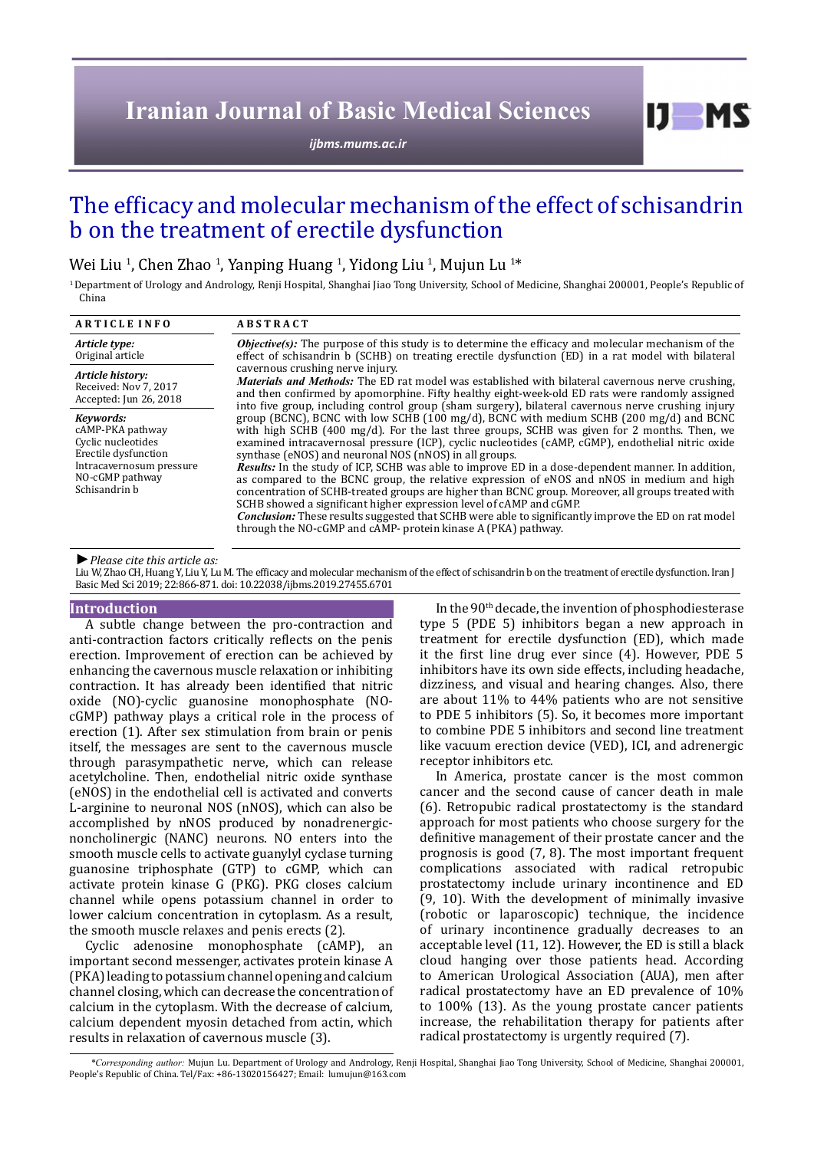# **Iranian Journal of Basic Medical Sciences**

*[ijbms.mums.ac.ir](http://ijbms.mums.ac.ir)*

## The efficacy and molecular mechanism of the effect of schisandrin b on the treatment of erectile dysfunction

## Wei Liu <sup>1</sup>, Chen Zhao <sup>1</sup>, Yanping Huang <sup>1</sup>, Yidong Liu <sup>1</sup>, Mujun Lu <sup>1\*</sup>

<sup>1</sup> Department of Urology and Andrology, Renji Hospital, Shanghai Jiao Tong University, School of Medicine, Shanghai 200001, People's Republic of China

| <b>ARTICLE INFO</b>                                                                                                                         | <b>ABSTRACT</b>                                                                                                                                                                                                                                                                                                                                                                                                                                                                                                                                                                                                                                                                                                                                                                                                                                                                                                                                                                                                                                                                                                                                                                                                                                                                                                                                                                                                                                                                                    |
|---------------------------------------------------------------------------------------------------------------------------------------------|----------------------------------------------------------------------------------------------------------------------------------------------------------------------------------------------------------------------------------------------------------------------------------------------------------------------------------------------------------------------------------------------------------------------------------------------------------------------------------------------------------------------------------------------------------------------------------------------------------------------------------------------------------------------------------------------------------------------------------------------------------------------------------------------------------------------------------------------------------------------------------------------------------------------------------------------------------------------------------------------------------------------------------------------------------------------------------------------------------------------------------------------------------------------------------------------------------------------------------------------------------------------------------------------------------------------------------------------------------------------------------------------------------------------------------------------------------------------------------------------------|
| Article type:<br>Original article                                                                                                           | <b><i>Objective(s)</i></b> : The purpose of this study is to determine the efficacy and molecular mechanism of the<br>effect of schisandrin b (SCHB) on treating erectile dysfunction (ED) in a rat model with bilateral<br>cavernous crushing nerve injury.<br>Materials and Methods: The ED rat model was established with bilateral cavernous nerve crushing,<br>and then confirmed by apomorphine. Fifty healthy eight-week-old ED rats were randomly assigned<br>into five group, including control group (sham surgery), bilateral cavernous nerve crushing injury<br>group (BCNC), BCNC with low SCHB (100 mg/d), BCNC with medium SCHB (200 mg/d) and BCNC<br>with high SCHB (400 mg/d). For the last three groups, SCHB was given for 2 months. Then, we<br>examined intracavernosal pressure (ICP), cyclic nucleotides (cAMP, cGMP), endothelial nitric oxide<br>synthase (eNOS) and neuronal NOS (nNOS) in all groups.<br>Results: In the study of ICP, SCHB was able to improve ED in a dose-dependent manner. In addition,<br>as compared to the BCNC group, the relative expression of eNOS and nNOS in medium and high<br>concentration of SCHB-treated groups are higher than BCNC group. Moreover, all groups treated with<br>SCHB showed a significant higher expression level of cAMP and cGMP.<br><i>Conclusion:</i> These results suggested that SCHB were able to significantly improve the ED on rat model<br>through the NO-cGMP and cAMP- protein kinase A (PKA) pathway. |
| Article history:<br>Received: Nov 7, 2017<br>Accepted: Jun 26, 2018                                                                         |                                                                                                                                                                                                                                                                                                                                                                                                                                                                                                                                                                                                                                                                                                                                                                                                                                                                                                                                                                                                                                                                                                                                                                                                                                                                                                                                                                                                                                                                                                    |
| Kevwords:<br>cAMP-PKA pathway<br>Cyclic nucleotides<br>Erectile dysfunction<br>Intracavernosum pressure<br>NO-cGMP pathway<br>Schisandrin b |                                                                                                                                                                                                                                                                                                                                                                                                                                                                                                                                                                                                                                                                                                                                                                                                                                                                                                                                                                                                                                                                                                                                                                                                                                                                                                                                                                                                                                                                                                    |

*►Please cite this article as:*

Liu W, Zhao CH, Huang Y, Liu Y, Lu M. The efficacy and molecular mechanism of the effect of schisandrin b on the treatment of erectile dysfunction. Iran J Basic Med Sci 2019; 22:866-871. doi: 10.22038/ijbms.2019.27455.6701

#### **Introduction**

A subtle change between the pro-contraction and anti-contraction factors critically reflects on the penis erection. Improvement of erection can be achieved by enhancing the cavernous muscle relaxation or inhibiting contraction. It has already been identified that nitric oxide (NO)-cyclic guanosine monophosphate (NOcGMP) pathway plays a critical role in the process of erection (1). After sex stimulation from brain or penis itself, the messages are sent to the cavernous muscle through parasympathetic nerve, which can release acetylcholine. Then, endothelial nitric oxide synthase (eNOS) in the endothelial cell is activated and converts L-arginine to neuronal NOS (nNOS), which can also be accomplished by nNOS produced by nonadrenergicnoncholinergic (NANC) neurons. NO enters into the smooth muscle cells to activate guanylyl cyclase turning guanosine triphosphate (GTP) to cGMP, which can activate protein kinase G (PKG). PKG closes calcium channel while opens potassium channel in order to lower calcium concentration in cytoplasm. As a result, the smooth muscle relaxes and penis erects (2).

Cyclic adenosine monophosphate (cAMP), an important second messenger, activates protein kinase A (PKA) leading to potassium channel opening and calcium channel closing, which can decrease the concentration of calcium in the cytoplasm. With the decrease of calcium, calcium dependent myosin detached from actin, which results in relaxation of cavernous muscle (3).

In the 90th decade, the invention of phosphodiesterase type 5 (PDE 5) inhibitors began a new approach in treatment for erectile dysfunction (ED), which made it the first line drug ever since (4). However, PDE 5 inhibitors have its own side effects, including headache, dizziness, and visual and hearing changes. Also, there are about 11% to 44% patients who are not sensitive to PDE 5 inhibitors (5). So, it becomes more important to combine PDE 5 inhibitors and second line treatment like vacuum erection device (VED), ICI, and adrenergic receptor inhibitors etc.

 $I$   $I$   $M$   $S$ 

In America, prostate cancer is the most common cancer and the second cause of cancer death in male (6). Retropubic radical prostatectomy is the standard approach for most patients who choose surgery for the definitive management of their prostate cancer and the prognosis is good (7, 8). The most important frequent complications associated with radical retropubic prostatectomy include urinary incontinence and ED (9, 10). With the development of minimally invasive (robotic or laparoscopic) technique, the incidence of urinary incontinence gradually decreases to an acceptable level (11, 12). However, the ED is still a black cloud hanging over those patients head. According to American Urological Association (AUA), men after radical prostatectomy have an ED prevalence of 10% to 100% (13). As the young prostate cancer patients increase, the rehabilitation therapy for patients after radical prostatectomy is urgently required (7).

*\*Corresponding author:* Mujun Lu. Department of Urology and Andrology, Renji Hospital, Shanghai Jiao Tong University, School of Medicine, Shanghai 200001, People's Republic of China. Tel/Fax: +86-13020156427; Email: lumujun@163.com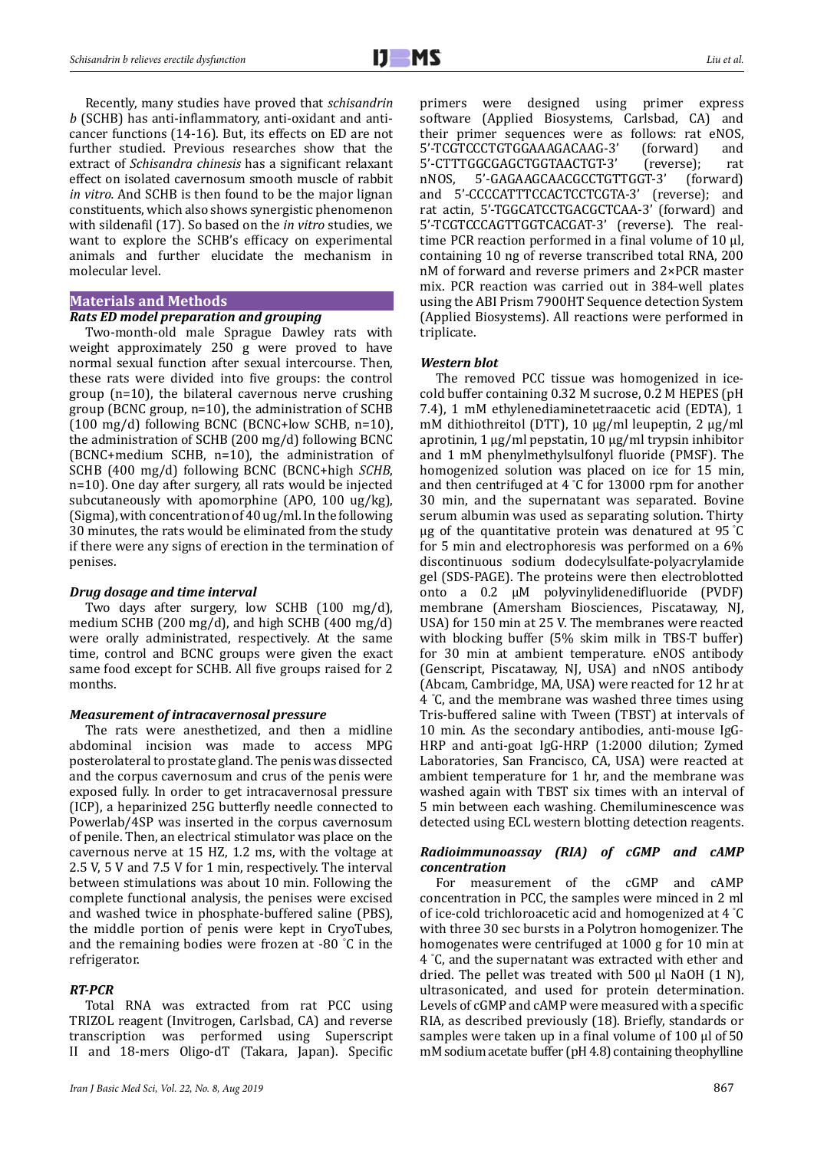Recently, many studies have proved that *schisandrin b* (SCHB) has anti-inflammatory, anti-oxidant and anticancer functions (14-16). But, its effects on ED are not further studied. Previous researches show that the extract of *Schisandra chinesis* has a significant relaxant effect on isolated cavernosum smooth muscle of rabbit *in vitro.* And SCHB is then found to be the major lignan constituents, which also shows synergistic phenomenon with sildenafil (17). So based on the *in vitro* studies, we want to explore the SCHB's efficacy on experimental animals and further elucidate the mechanism in molecular level.

#### **Materials and Methods**

### *Rats ED model preparation and grouping*

Two-month-old male Sprague Dawley rats with weight approximately 250 g were proved to have normal sexual function after sexual intercourse. Then, these rats were divided into five groups: the control group (n=10), the bilateral cavernous nerve crushing group (BCNC group, n=10), the administration of SCHB (100 mg/d) following BCNC (BCNC+low SCHB, n=10), the administration of SCHB (200 mg/d) following BCNC (BCNC+medium SCHB, n=10), the administration of SCHB (400 mg/d) following BCNC (BCNC+high *SCHB*, n=10). One day after surgery, all rats would be injected subcutaneously with apomorphine (APO, 100 ug/kg), (Sigma), with concentration of 40 ug/ml. In the following 30 minutes, the rats would be eliminated from the study if there were any signs of erection in the termination of penises.

### *Drug dosage and time interval*

Two days after surgery, low SCHB (100 mg/d), medium SCHB (200 mg/d), and high SCHB (400 mg/d) were orally administrated, respectively. At the same time, control and BCNC groups were given the exact same food except for SCHB. All five groups raised for 2 months.

## *Measurement of intracavernosal pressure*

The rats were anesthetized, and then a midline abdominal incision was made to access MPG posterolateral to prostate gland. The penis was dissected and the corpus cavernosum and crus of the penis were exposed fully. In order to get intracavernosal pressure (ICP), a heparinized 25G butterfly needle connected to Powerlab/4SP was inserted in the corpus cavernosum of penile. Then, an electrical stimulator was place on the cavernous nerve at 15 HZ, 1.2 ms, with the voltage at 2.5 V, 5 V and 7.5 V for 1 min, respectively. The interval between stimulations was about 10 min. Following the complete functional analysis, the penises were excised and washed twice in phosphate-buffered saline (PBS), the middle portion of penis were kept in CryoTubes, and the remaining bodies were frozen at -80 ° C in the refrigerator.

#### *RT-PCR*

Total RNA was extracted from rat PCC using TRIZOL reagent (Invitrogen, Carlsbad, CA) and reverse transcription was performed using Superscript II and 18-mers Oligo-dT (Takara, Japan). Specific

primers were designed using primer express software (Applied Biosystems, Carlsbad, CA) and their primer sequences were as follows: rat eNOS,<br>5'-TCGTCCCTGTGGAAAGACAAG-3' (forward) and 5'-TCGTCCCTGTGGAAAGACAAG-3' (forward) and<br>5'-CTTTGGCGAGCTGGTAACTGT-3' (reverse); rat 5'-CTTTGGCGAGCTGGTAACTGT-3' (reverse); rat<br>nNOS, 5'-GAGAAGCAACGCCTGTTGGT-3' (forward) 5'-GAGAAGCAACGCCTGTTGGT-3' (forward)<br>CCCCATTTCCACTCCTCGTA-3' (reverse); and and 5'-CCCCATTTCCACTCCTCGTA-3' rat actin, 5'-TGGCATCCTGACGCTCAA-3' (forward) and 5'-TCGTCCCAGTTGGTCACGAT-3' (reverse). The realtime PCR reaction performed in a final volume of  $10 \mu$ . containing 10 ng of reverse transcribed total RNA, 200 nM of forward and reverse primers and 2×PCR master mix. PCR reaction was carried out in 384-well plates using the ABI Prism 7900HT Sequence detection System (Applied Biosystems). All reactions were performed in triplicate.

#### *Western blot*

The removed PCC tissue was homogenized in icecold buffer containing 0.32 M sucrose, 0.2 M HEPES (pH 7.4), 1 mM ethylenediaminetetraacetic acid (EDTA), 1 mM dithiothreitol (DTT), 10 μg/ml leupeptin, 2 μg/ml aprotinin, 1 μg/ml pepstatin, 10 μg/ml trypsin inhibitor and 1 mM phenylmethylsulfonyl fluoride (PMSF). The homogenized solution was placed on ice for 15 min, and then centrifuged at 4 ° C for 13000 rpm for another 30 min, and the supernatant was separated. Bovine serum albumin was used as separating solution. Thirty μg of the quantitative protein was denatured at 95 °C for 5 min and electrophoresis was performed on a 6% discontinuous sodium dodecylsulfate-polyacrylamide gel (SDS-PAGE). The proteins were then electroblotted onto a 0.2 μM polyvinylidenedifluoride (PVDF) membrane (Amersham Biosciences, Piscataway, NJ, USA) for 150 min at 25 V. The membranes were reacted with blocking buffer (5% skim milk in TBS-T buffer) for 30 min at ambient temperature. eNOS antibody (Genscript, Piscataway, NJ, USA) and nNOS antibody (Abcam, Cambridge, MA, USA) were reacted for 12 hr at 4 ° C, and the membrane was washed three times using Tris-buffered saline with Tween (TBST) at intervals of 10 min. As the secondary antibodies, anti-mouse IgG-HRP and anti-goat IgG-HRP (1:2000 dilution; Zymed Laboratories, San Francisco, CA, USA) were reacted at ambient temperature for 1 hr, and the membrane was washed again with TBST six times with an interval of 5 min between each washing. Chemiluminescence was detected using ECL western blotting detection reagents.

## *Radioimmunoassay (RIA) of cGMP and cAMP concentration*

For measurement of the cGMP and cAMP concentration in PCC, the samples were minced in 2 ml of ice-cold trichloroacetic acid and homogenized at 4 ° C with three 30 sec bursts in a Polytron homogenizer. The homogenates were centrifuged at 1000 g for 10 min at 4 ° C, and the supernatant was extracted with ether and dried. The pellet was treated with 500 µl NaOH (1 N), ultrasonicated, and used for protein determination. Levels of cGMP and cAMP were measured with a specific RIA, as described previously (18). Briefly, standards or samples were taken up in a final volume of  $100 \mu$  of  $50$ mM sodium acetate buffer (pH 4.8) containing theophylline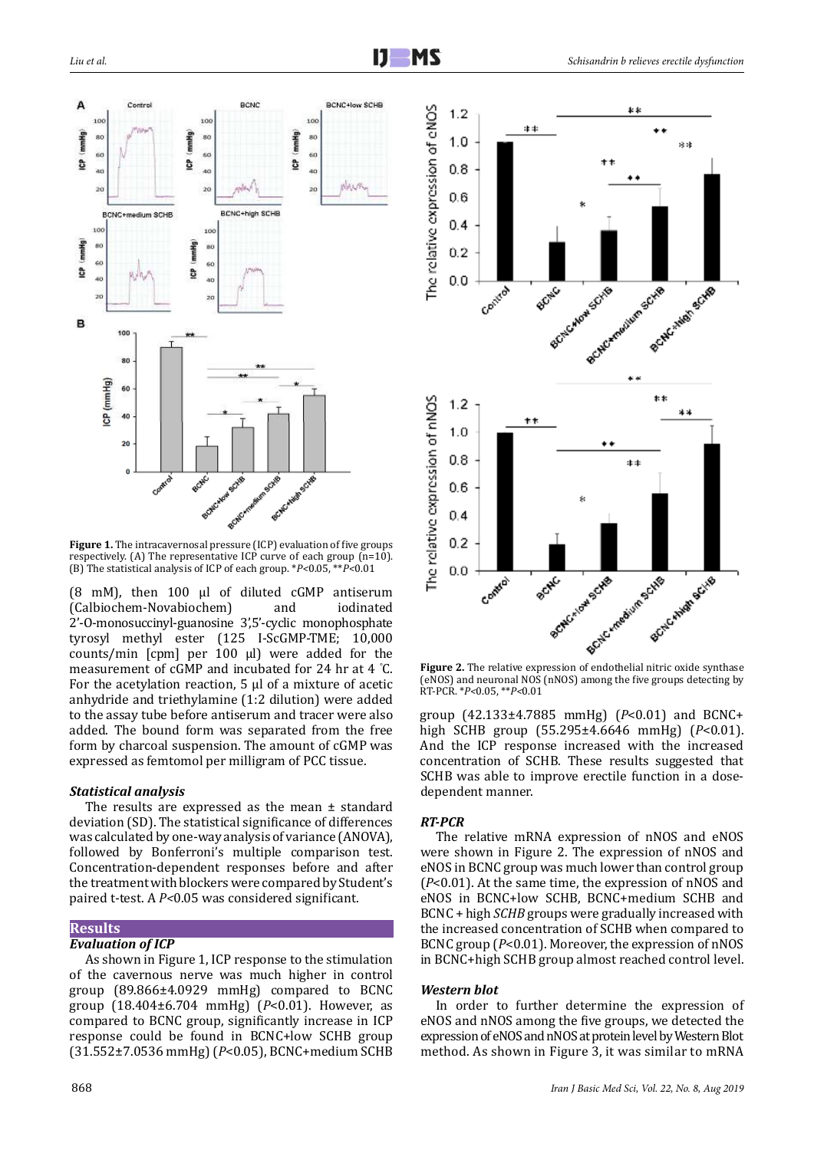



**Figure 1.** The intracavernosal pressure (ICP) evaluation of five groups respectively. (A) The representative ICP curve of each group (n=10). (B) The statistical analysis of ICP of each group. \**P<*0.05, \*\**P<*0.01

(8 mM), then  $100 \mu l$  of diluted cGMP antiserum<br>(Calbiochem-Novabiochem) and iodinated (Calbiochem-Novabiochem) 2'-O-monosuccinyl-guanosine 3',5'-cyclic monophosphate tyrosyl methyl ester (125 I-ScGMP-TME; 10,000 counts/min [cpm] per 100 µl) were added for the measurement of cGMP and incubated for 24 hr at 4 ° C. For the acetylation reaction,  $5 \mu$  of a mixture of acetic anhydride and triethylamine (1:2 dilution) were added to the assay tube before antiserum and tracer were also added. The bound form was separated from the free form by charcoal suspension. The amount of cGMP was expressed as femtomol per milligram of PCC tissue.

### *Statistical analysis*

The results are expressed as the mean ± standard deviation (SD). The statistical significance of differences was calculated by one-way analysis of variance (ANOVA), followed by Bonferroni's multiple comparison test. Concentration-dependent responses before and after the treatment with blockers were compared by Student's paired t-test. A *P<*0.05 was considered significant.

## **Results**

## *Evaluation of ICP*

As shown in Figure 1, ICP response to the stimulation of the cavernous nerve was much higher in control group (89.866±4.0929 mmHg) compared to BCNC group (18.404±6.704 mmHg) (*P*<0.01). However, as compared to BCNC group, significantly increase in ICP response could be found in BCNC+low SCHB group (31.552±7.0536 mmHg) (*P*<0.05), BCNC+medium SCHB



(eNOS) and neuronal NOS (nNOS) among the five groups detecting by RT-PCR. \**P<*0.05, \*\**P<*0.01

group (42.133±4.7885 mmHg) (*P*<0.01) and BCNC+ high SCHB group (55.295±4.6646 mmHg) (*P*<0.01). And the ICP response increased with the increased concentration of SCHB*.* These results suggested that SCHB was able to improve erectile function in a dosedependent manner.

## *RT-PCR*

The relative mRNA expression of nNOS and eNOS were shown in Figure 2. The expression of nNOS and eNOS in BCNC group was much lower than control group (*P*<0.01). At the same time, the expression of nNOS and eNOS in BCNC+low SCHB, BCNC+medium SCHB and BCNC + high *SCHB* groups were gradually increased with the increased concentration of SCHB when compared to BCNC group (*P*<0.01). Moreover, the expression of nNOS in BCNC+high SCHB group almost reached control level.

#### *Western blot*

In order to further determine the expression of eNOS and nNOS among the five groups, we detected the expression of eNOS and nNOS at protein level by Western Blot method. As shown in Figure 3, it was similar to mRNA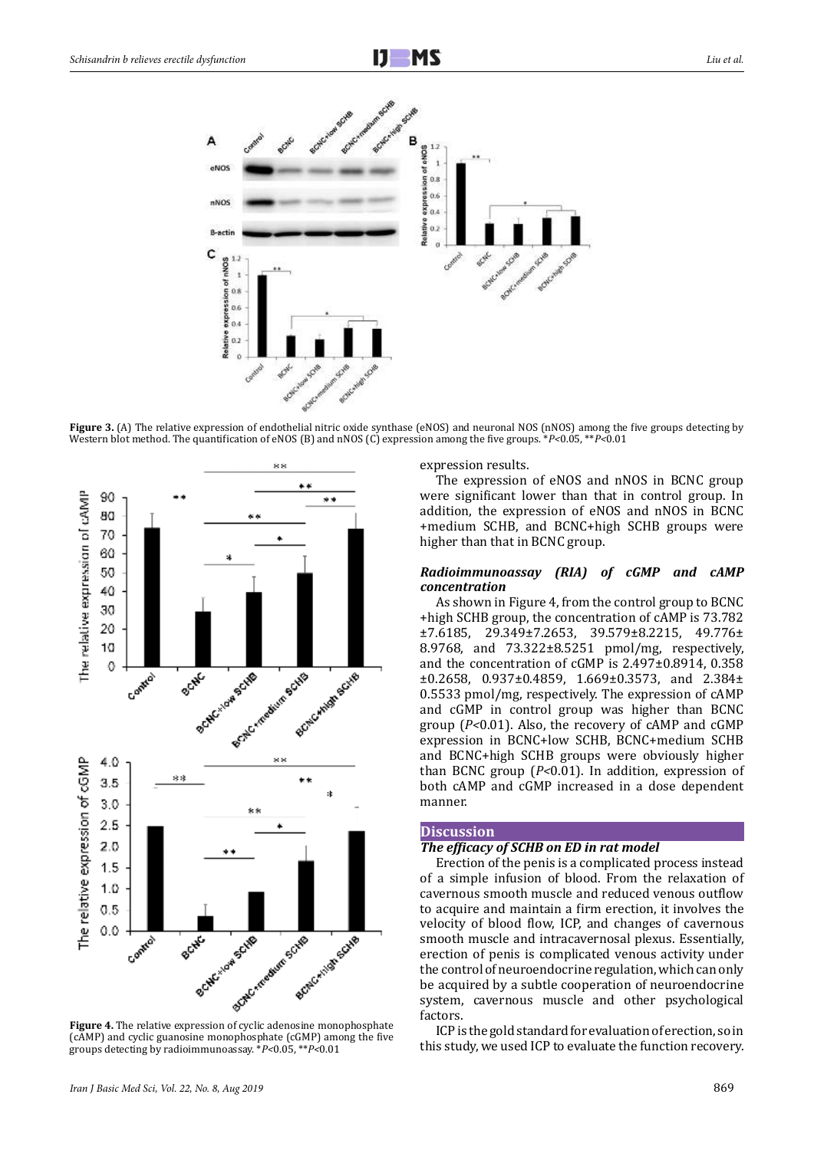

**Figure 3.** (A) The relative expression of endothelial nitric oxide synthase (eNOS) and neuronal NOS (nNOS) among the five groups detecting by Western blot method. The quantification of eNOS (B) and nNOS (C) expression among the five groups. \**P<*0.05, \*\**P<*0.01



(cAMP) and cyclic guanosine monophosphate (cGMP) among the five groups detecting by radioimmunoassay. \**P<*0.05, \*\**P<*0.01

expression results.

The expression of eNOS and nNOS in BCNC group were significant lower than that in control group. In addition, the expression of eNOS and nNOS in BCNC +medium SCHB, and BCNC+high SCHB groups were higher than that in BCNC group.

#### *Radioimmunoassay (RIA) of cGMP and cAMP concentration*

As shown in Figure 4, from the control group to BCNC +high SCHB group, the concentration of cAMP is 73.782 ±7.6185, 29.349±7.2653, 39.579±8.2215, 49.776± 8.9768, and 73.322±8.5251 pmol/mg, respectively, and the concentration of cGMP is 2.497±0.8914, 0.358 ±0.2658, 0.937±0.4859, 1.669±0.3573, and 2.384± 0.5533 pmol/mg, respectively. The expression of cAMP and cGMP in control group was higher than BCNC group (*P<*0.01). Also, the recovery of cAMP and cGMP expression in BCNC+low SCHB, BCNC+medium SCHB and BCNC+high SCHB groups were obviously higher than BCNC group (*P<*0.01). In addition, expression of both cAMP and cGMP increased in a dose dependent manner.

#### **Discussion**

## *The efficacy of SCHB on ED in rat model*

Erection of the penis is a complicated process instead of a simple infusion of blood. From the relaxation of cavernous smooth muscle and reduced venous outflow to acquire and maintain a firm erection, it involves the velocity of blood flow, ICP, and changes of cavernous smooth muscle and intracavernosal plexus. Essentially, erection of penis is complicated venous activity under the control of neuroendocrine regulation, which can only be acquired by a subtle cooperation of neuroendocrine system, cavernous muscle and other psychological factors.

ICP is the gold standard for evaluation of erection, so in this study, we used ICP to evaluate the function recovery.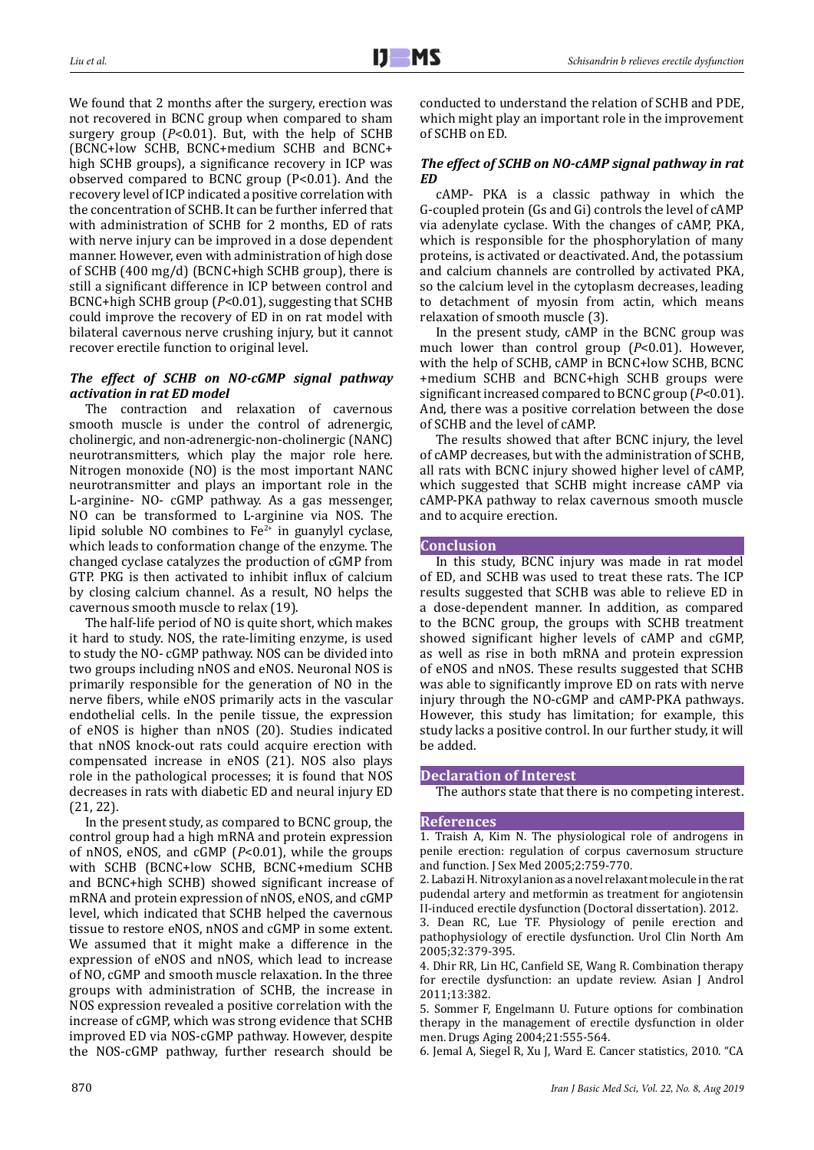We found that 2 months after the surgery, erection was not recovered in BCNC group when compared to sham surgery group (*P*<0.01). But, with the help of SCHB (BCNC+low SCHB, BCNC+medium SCHB and BCNC+ high SCHB groups), a significance recovery in ICP was observed compared to BCNC group (P<0.01). And the recovery level of ICP indicated a positive correlation with the concentration of SCHB. It can be further inferred that with administration of SCHB for 2 months, ED of rats with nerve injury can be improved in a dose dependent manner. However, even with administration of high dose of SCHB (400 mg/d) (BCNC+high SCHB group), there is still a significant difference in ICP between control and BCNC+high SCHB group (*P*<0.01), suggesting that SCHB could improve the recovery of ED in on rat model with bilateral cavernous nerve crushing injury, but it cannot recover erectile function to original level.

## *The effect of SCHB on NO-cGMP signal pathway activation in rat ED model*

The contraction and relaxation of cavernous smooth muscle is under the control of adrenergic, cholinergic, and non-adrenergic-non-cholinergic (NANC) neurotransmitters, which play the major role here. Nitrogen monoxide (NO) is the most important NANC neurotransmitter and plays an important role in the L-arginine- NO- cGMP pathway. As a gas messenger, NO can be transformed to L-arginine via NOS. The lipid soluble NO combines to  $Fe<sup>2+</sup>$  in guanylyl cyclase, which leads to conformation change of the enzyme. The changed cyclase catalyzes the production of cGMP from GTP. PKG is then activated to inhibit influx of calcium by closing calcium channel. As a result, NO helps the cavernous smooth muscle to relax (19).

The half-life period of NO is quite short, which makes it hard to study. NOS, the rate-limiting enzyme, is used to study the NO- cGMP pathway. NOS can be divided into two groups including nNOS and eNOS. Neuronal NOS is primarily responsible for the generation of NO in the nerve fibers, while eNOS primarily acts in the vascular endothelial cells. In the penile tissue, the expression of eNOS is higher than nNOS (20). Studies indicated that nNOS knock-out rats could acquire erection with compensated increase in eNOS (21). NOS also plays role in the pathological processes; it is found that NOS decreases in rats with diabetic ED and neural injury ED (21, 22).

In the present study, as compared to BCNC group, the control group had a high mRNA and protein expression of nNOS, eNOS, and cGMP (*P*<0.01), while the groups with SCHB (BCNC+low SCHB, BCNC+medium SCHB and BCNC+high SCHB) showed significant increase of mRNA and protein expression of nNOS, eNOS, and cGMP level, which indicated that SCHB helped the cavernous tissue to restore eNOS, nNOS and cGMP in some extent. We assumed that it might make a difference in the expression of eNOS and nNOS, which lead to increase of NO, cGMP and smooth muscle relaxation. In the three groups with administration of SCHB, the increase in NOS expression revealed a positive correlation with the increase of cGMP, which was strong evidence that SCHB improved ED via NOS-cGMP pathway. However, despite the NOS-cGMP pathway, further research should be

conducted to understand the relation of SCHB and PDE, which might play an important role in the improvement of SCHB on ED.

## *The effect of SCHB on NO-cAMP signal pathway in rat ED*

cAMP- PKA is a classic pathway in which the G-coupled protein (Gs and Gi) controls the level of cAMP via adenylate cyclase. With the changes of cAMP, PKA, which is responsible for the phosphorylation of many proteins, is activated or deactivated. And, the potassium and calcium channels are controlled by activated PKA, so the calcium level in the cytoplasm decreases, leading to detachment of myosin from actin, which means relaxation of smooth muscle (3).

In the present study, cAMP in the BCNC group was much lower than control group (*P*<0.01). However, with the help of SCHB, cAMP in BCNC+low SCHB, BCNC +medium SCHB and BCNC+high SCHB groups were significant increased compared to BCNC group (*P*<0.01). And, there was a positive correlation between the dose of SCHB and the level of cAMP.

The results showed that after BCNC injury, the level of cAMP decreases, but with the administration of SCHB, all rats with BCNC injury showed higher level of cAMP, which suggested that SCHB might increase cAMP via cAMP-PKA pathway to relax cavernous smooth muscle and to acquire erection.

## **Conclusion**

In this study, BCNC injury was made in rat model of ED, and SCHB was used to treat these rats. The ICP results suggested that SCHB was able to relieve ED in a dose-dependent manner. In addition, as compared to the BCNC group, the groups with SCHB treatment showed significant higher levels of cAMP and cGMP, as well as rise in both mRNA and protein expression of eNOS and nNOS. These results suggested that SCHB was able to significantly improve ED on rats with nerve injury through the NO-cGMP and cAMP-PKA pathways. However, this study has limitation; for example, this study lacks a positive control. In our further study, it will be added.

## **Declaration of Interest**

The authors state that there is no competing interest.

## **References**

1. Traish A, Kim N. The physiological role of androgens in penile erection: regulation of corpus cavernosum structure and function. J Sex Med 2005;2:759-770.

2. Labazi H. Nitroxyl anion as a novel relaxant molecule in the rat pudendal artery and metformin as treatment for angiotensin

II-induced erectile dysfunction (Doctoral dissertation). 2012. 3. Dean RC, Lue TF. Physiology of penile erection and pathophysiology of erectile dysfunction. Urol Clin North Am 2005;32:379-395.

4. Dhir RR, Lin HC, Canfield SE, Wang R. Combination therapy for erectile dysfunction: an update review. Asian J Androl 2011;13:382.

5. Sommer F, Engelmann U. Future options for combination therapy in the management of erectile dysfunction in older men. Drugs Aging 2004;21:555-564.

6. Jemal A, Siegel R, Xu J, Ward E. Cancer statistics, 2010. "CA